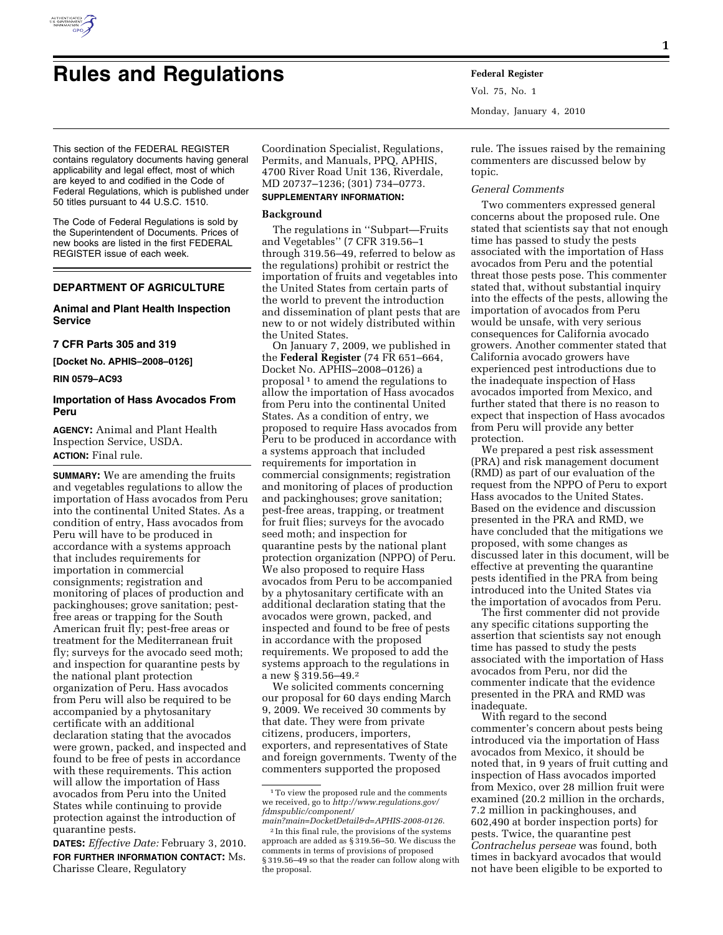

# **Rules and Regulations Federal Register**

Vol. 75, No. 1 Monday, January 4, 2010

This section of the FEDERAL REGISTER contains regulatory documents having general applicability and legal effect, most of which are keyed to and codified in the Code of Federal Regulations, which is published under 50 titles pursuant to 44 U.S.C. 1510.

The Code of Federal Regulations is sold by the Superintendent of Documents. Prices of new books are listed in the first FEDERAL REGISTER issue of each week.

# **DEPARTMENT OF AGRICULTURE**

# **Animal and Plant Health Inspection Service**

# **7 CFR Parts 305 and 319**

**[Docket No. APHIS–2008–0126]** 

**RIN 0579–AC93** 

# **Importation of Hass Avocados From Peru**

**AGENCY:** Animal and Plant Health Inspection Service, USDA. **ACTION:** Final rule.

**SUMMARY:** We are amending the fruits and vegetables regulations to allow the importation of Hass avocados from Peru into the continental United States. As a condition of entry, Hass avocados from Peru will have to be produced in accordance with a systems approach that includes requirements for importation in commercial consignments; registration and monitoring of places of production and packinghouses; grove sanitation; pestfree areas or trapping for the South American fruit fly; pest-free areas or treatment for the Mediterranean fruit fly; surveys for the avocado seed moth; and inspection for quarantine pests by the national plant protection organization of Peru. Hass avocados from Peru will also be required to be accompanied by a phytosanitary certificate with an additional declaration stating that the avocados were grown, packed, and inspected and found to be free of pests in accordance with these requirements. This action will allow the importation of Hass avocados from Peru into the United States while continuing to provide protection against the introduction of quarantine pests.

**DATES:** *Effective Date:* February 3, 2010. **FOR FURTHER INFORMATION CONTACT:** Ms. Charisse Cleare, Regulatory

Coordination Specialist, Regulations, Permits, and Manuals, PPQ, APHIS, 4700 River Road Unit 136, Riverdale, MD 20737–1236; (301) 734–0773.

# **SUPPLEMENTARY INFORMATION:**

#### **Background**

The regulations in ''Subpart—Fruits and Vegetables'' (7 CFR 319.56–1 through 319.56–49, referred to below as the regulations) prohibit or restrict the importation of fruits and vegetables into the United States from certain parts of the world to prevent the introduction and dissemination of plant pests that are new to or not widely distributed within the United States.

On January 7, 2009, we published in the **Federal Register** (74 FR 651–664, Docket No. APHIS–2008–0126) a proposal<sup>1</sup> to amend the regulations to allow the importation of Hass avocados from Peru into the continental United States. As a condition of entry, we proposed to require Hass avocados from Peru to be produced in accordance with a systems approach that included requirements for importation in commercial consignments; registration and monitoring of places of production and packinghouses; grove sanitation; pest-free areas, trapping, or treatment for fruit flies; surveys for the avocado seed moth; and inspection for quarantine pests by the national plant protection organization (NPPO) of Peru. We also proposed to require Hass avocados from Peru to be accompanied by a phytosanitary certificate with an additional declaration stating that the avocados were grown, packed, and inspected and found to be free of pests in accordance with the proposed requirements. We proposed to add the systems approach to the regulations in a new § 319.56–49.2

We solicited comments concerning our proposal for 60 days ending March 9, 2009. We received 30 comments by that date. They were from private citizens, producers, importers, exporters, and representatives of State and foreign governments. Twenty of the commenters supported the proposed

rule. The issues raised by the remaining commenters are discussed below by topic.

# *General Comments*

Two commenters expressed general concerns about the proposed rule. One stated that scientists say that not enough time has passed to study the pests associated with the importation of Hass avocados from Peru and the potential threat those pests pose. This commenter stated that, without substantial inquiry into the effects of the pests, allowing the importation of avocados from Peru would be unsafe, with very serious consequences for California avocado growers. Another commenter stated that California avocado growers have experienced pest introductions due to the inadequate inspection of Hass avocados imported from Mexico, and further stated that there is no reason to expect that inspection of Hass avocados from Peru will provide any better protection.

We prepared a pest risk assessment (PRA) and risk management document (RMD) as part of our evaluation of the request from the NPPO of Peru to export Hass avocados to the United States. Based on the evidence and discussion presented in the PRA and RMD, we have concluded that the mitigations we proposed, with some changes as discussed later in this document, will be effective at preventing the quarantine pests identified in the PRA from being introduced into the United States via the importation of avocados from Peru.

The first commenter did not provide any specific citations supporting the assertion that scientists say not enough time has passed to study the pests associated with the importation of Hass avocados from Peru, nor did the commenter indicate that the evidence presented in the PRA and RMD was inadequate.

With regard to the second commenter's concern about pests being introduced via the importation of Hass avocados from Mexico, it should be noted that, in 9 years of fruit cutting and inspection of Hass avocados imported from Mexico, over 28 million fruit were examined (20.2 million in the orchards, 7.2 million in packinghouses, and 602,490 at border inspection ports) for pests. Twice, the quarantine pest *Contrachelus perseae* was found, both times in backyard avocados that would not have been eligible to be exported to

<sup>1</sup>To view the proposed rule and the comments we received, go to *http://www.regulations.gov/ fdmspublic/component/* 

*main?main=DocketDetail&d=APHIS-2008-0126*. 2 In this final rule, the provisions of the systems approach are added as § 319.56–50. We discuss the comments in terms of provisions of proposed § 319.56–49 so that the reader can follow along with the proposal.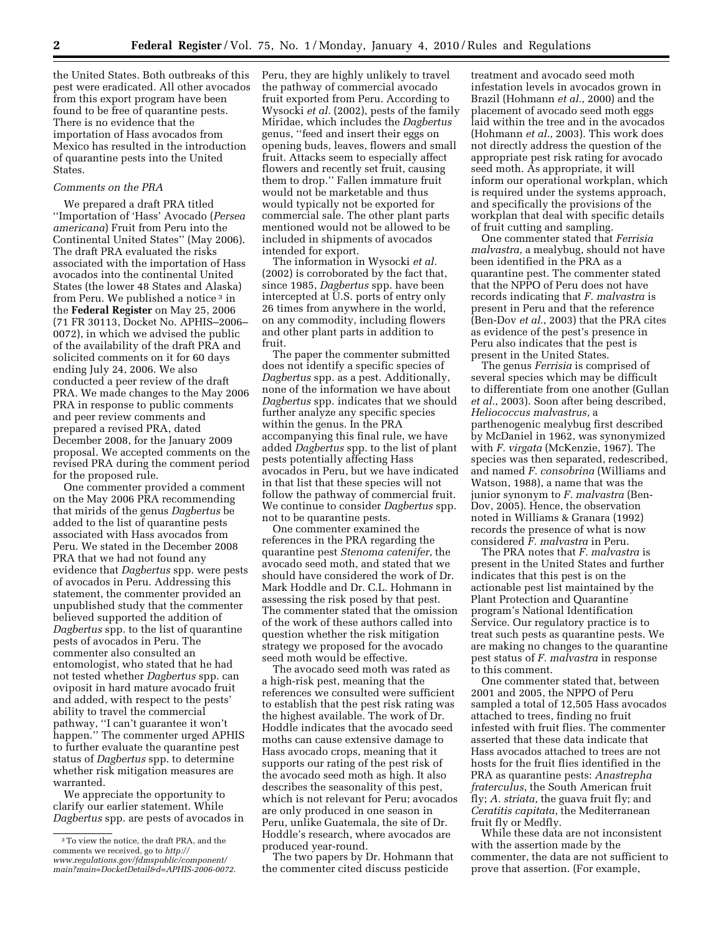the United States. Both outbreaks of this pest were eradicated. All other avocados from this export program have been found to be free of quarantine pests. There is no evidence that the importation of Hass avocados from Mexico has resulted in the introduction of quarantine pests into the United States.

# *Comments on the PRA*

We prepared a draft PRA titled ''Importation of 'Hass' Avocado (*Persea americana*) Fruit from Peru into the Continental United States'' (May 2006). The draft PRA evaluated the risks associated with the importation of Hass avocados into the continental United States (the lower 48 States and Alaska) from Peru. We published a notice<sup>3</sup> in the **Federal Register** on May 25, 2006 (71 FR 30113, Docket No. APHIS–2006– 0072), in which we advised the public of the availability of the draft PRA and solicited comments on it for 60 days ending July 24, 2006. We also conducted a peer review of the draft PRA. We made changes to the May 2006 PRA in response to public comments and peer review comments and prepared a revised PRA, dated December 2008, for the January 2009 proposal. We accepted comments on the revised PRA during the comment period for the proposed rule.

One commenter provided a comment on the May 2006 PRA recommending that mirids of the genus *Dagbertus* be added to the list of quarantine pests associated with Hass avocados from Peru. We stated in the December 2008 PRA that we had not found any evidence that *Dagbertus* spp. were pests of avocados in Peru. Addressing this statement, the commenter provided an unpublished study that the commenter believed supported the addition of *Dagbertus* spp. to the list of quarantine pests of avocados in Peru. The commenter also consulted an entomologist, who stated that he had not tested whether *Dagbertus* spp. can oviposit in hard mature avocado fruit and added, with respect to the pests' ability to travel the commercial pathway, ''I can't guarantee it won't happen.'' The commenter urged APHIS to further evaluate the quarantine pest status of *Dagbertus* spp. to determine whether risk mitigation measures are warranted.

We appreciate the opportunity to clarify our earlier statement. While *Dagbertus* spp. are pests of avocados in Peru, they are highly unlikely to travel the pathway of commercial avocado fruit exported from Peru. According to Wysocki *et al.* (2002), pests of the family Miridae, which includes the *Dagbertus*  genus, ''feed and insert their eggs on opening buds, leaves, flowers and small fruit. Attacks seem to especially affect flowers and recently set fruit, causing them to drop.'' Fallen immature fruit would not be marketable and thus would typically not be exported for commercial sale. The other plant parts mentioned would not be allowed to be included in shipments of avocados intended for export.

The information in Wysocki *et al.*  (2002) is corroborated by the fact that, since 1985, *Dagbertus* spp. have been intercepted at U.S. ports of entry only 26 times from anywhere in the world, on any commodity, including flowers and other plant parts in addition to fruit.

The paper the commenter submitted does not identify a specific species of *Dagbertus* spp. as a pest. Additionally, none of the information we have about *Dagbertus* spp. indicates that we should further analyze any specific species within the genus. In the PRA accompanying this final rule, we have added *Dagbertus* spp. to the list of plant pests potentially affecting Hass avocados in Peru, but we have indicated in that list that these species will not follow the pathway of commercial fruit. We continue to consider *Dagbertus* spp. not to be quarantine pests.

One commenter examined the references in the PRA regarding the quarantine pest *Stenoma catenifer*, the avocado seed moth, and stated that we should have considered the work of Dr. Mark Hoddle and Dr. C.L. Hohmann in assessing the risk posed by that pest. The commenter stated that the omission of the work of these authors called into question whether the risk mitigation strategy we proposed for the avocado seed moth would be effective.

The avocado seed moth was rated as a high-risk pest, meaning that the references we consulted were sufficient to establish that the pest risk rating was the highest available. The work of Dr. Hoddle indicates that the avocado seed moths can cause extensive damage to Hass avocado crops, meaning that it supports our rating of the pest risk of the avocado seed moth as high. It also describes the seasonality of this pest, which is not relevant for Peru; avocados are only produced in one season in Peru, unlike Guatemala, the site of Dr. Hoddle's research, where avocados are produced year-round.

The two papers by Dr. Hohmann that the commenter cited discuss pesticide

treatment and avocado seed moth infestation levels in avocados grown in Brazil (Hohmann *et al.*, 2000) and the placement of avocado seed moth eggs laid within the tree and in the avocados (Hohmann *et al.*, 2003). This work does not directly address the question of the appropriate pest risk rating for avocado seed moth. As appropriate, it will inform our operational workplan, which is required under the systems approach, and specifically the provisions of the workplan that deal with specific details of fruit cutting and sampling.

One commenter stated that *Ferrisia malvastra,* a mealybug, should not have been identified in the PRA as a quarantine pest. The commenter stated that the NPPO of Peru does not have records indicating that *F. malvastra* is present in Peru and that the reference (Ben-Dov *et al.*, 2003) that the PRA cites as evidence of the pest's presence in Peru also indicates that the pest is present in the United States.

The genus *Ferrisia* is comprised of several species which may be difficult to differentiate from one another (Gullan *et al.*, 2003). Soon after being described, *Heliococcus malvastrus*, a parthenogenic mealybug first described by McDaniel in 1962, was synonymized with *F. virgata* (McKenzie, 1967). The species was then separated, redescribed, and named *F. consobrina* (Williams and Watson, 1988), a name that was the junior synonym to *F. malvastra* (Ben-Dov, 2005). Hence, the observation noted in Williams & Granara (1992) records the presence of what is now considered *F. malvastra* in Peru.

The PRA notes that *F. malvastra* is present in the United States and further indicates that this pest is on the actionable pest list maintained by the Plant Protection and Quarantine program's National Identification Service. Our regulatory practice is to treat such pests as quarantine pests. We are making no changes to the quarantine pest status of *F. malvastra* in response to this comment.

One commenter stated that, between 2001 and 2005, the NPPO of Peru sampled a total of 12,505 Hass avocados attached to trees, finding no fruit infested with fruit flies. The commenter asserted that these data indicate that Hass avocados attached to trees are not hosts for the fruit flies identified in the PRA as quarantine pests: *Anastrepha fraterculus*, the South American fruit fly; *A. striata*, the guava fruit fly; and *Ceratitis capitata*, the Mediterranean fruit fly or Medfly.

While these data are not inconsistent with the assertion made by the commenter, the data are not sufficient to prove that assertion. (For example,

<sup>3</sup>To view the notice, the draft PRA, and the comments we received, go to *http:// www.regulations.gov/fdmspublic/component/ main?main=DocketDetail&d=APHIS-2006-0072*.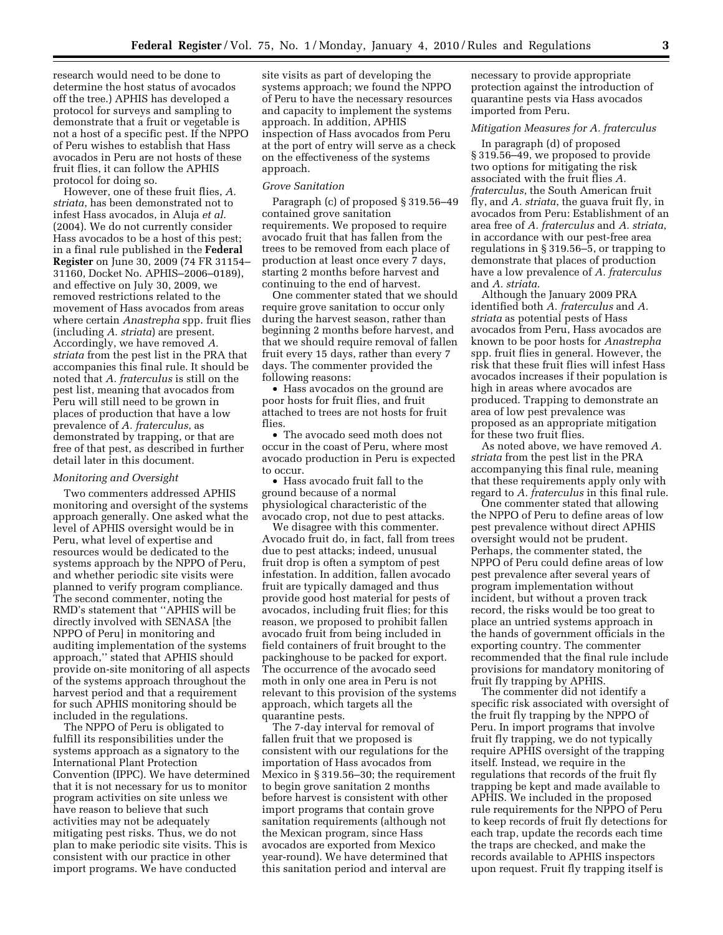research would need to be done to determine the host status of avocados off the tree.) APHIS has developed a protocol for surveys and sampling to demonstrate that a fruit or vegetable is not a host of a specific pest. If the NPPO of Peru wishes to establish that Hass avocados in Peru are not hosts of these fruit flies, it can follow the APHIS protocol for doing so.

However, one of these fruit flies, *A. striata*, has been demonstrated not to infest Hass avocados, in Aluja *et al.*  (2004). We do not currently consider Hass avocados to be a host of this pest; in a final rule published in the **Federal Register** on June 30, 2009 (74 FR 31154– 31160, Docket No. APHIS–2006–0189), and effective on July 30, 2009, we removed restrictions related to the movement of Hass avocados from areas where certain *Anastrepha* spp. fruit flies (including *A. striata*) are present. Accordingly, we have removed *A. striata* from the pest list in the PRA that accompanies this final rule. It should be noted that *A. fraterculus* is still on the pest list, meaning that avocados from Peru will still need to be grown in places of production that have a low prevalence of *A. fraterculus*, as demonstrated by trapping, or that are free of that pest, as described in further detail later in this document.

# *Monitoring and Oversight*

Two commenters addressed APHIS monitoring and oversight of the systems approach generally. One asked what the level of APHIS oversight would be in Peru, what level of expertise and resources would be dedicated to the systems approach by the NPPO of Peru, and whether periodic site visits were planned to verify program compliance. The second commenter, noting the RMD's statement that ''APHIS will be directly involved with SENASA [the NPPO of Peru] in monitoring and auditing implementation of the systems approach,'' stated that APHIS should provide on-site monitoring of all aspects of the systems approach throughout the harvest period and that a requirement for such APHIS monitoring should be included in the regulations.

The NPPO of Peru is obligated to fulfill its responsibilities under the systems approach as a signatory to the International Plant Protection Convention (IPPC). We have determined that it is not necessary for us to monitor program activities on site unless we have reason to believe that such activities may not be adequately mitigating pest risks. Thus, we do not plan to make periodic site visits. This is consistent with our practice in other import programs. We have conducted

site visits as part of developing the systems approach; we found the NPPO of Peru to have the necessary resources and capacity to implement the systems approach. In addition, APHIS inspection of Hass avocados from Peru at the port of entry will serve as a check on the effectiveness of the systems approach.

#### *Grove Sanitation*

Paragraph (c) of proposed § 319.56–49 contained grove sanitation requirements. We proposed to require avocado fruit that has fallen from the trees to be removed from each place of production at least once every 7 days, starting 2 months before harvest and continuing to the end of harvest.

One commenter stated that we should require grove sanitation to occur only during the harvest season, rather than beginning 2 months before harvest, and that we should require removal of fallen fruit every 15 days, rather than every 7 days. The commenter provided the following reasons:

• Hass avocados on the ground are poor hosts for fruit flies, and fruit attached to trees are not hosts for fruit flies

• The avocado seed moth does not occur in the coast of Peru, where most avocado production in Peru is expected to occur.

• Hass avocado fruit fall to the ground because of a normal physiological characteristic of the avocado crop, not due to pest attacks.

We disagree with this commenter. Avocado fruit do, in fact, fall from trees due to pest attacks; indeed, unusual fruit drop is often a symptom of pest infestation. In addition, fallen avocado fruit are typically damaged and thus provide good host material for pests of avocados, including fruit flies; for this reason, we proposed to prohibit fallen avocado fruit from being included in field containers of fruit brought to the packinghouse to be packed for export. The occurrence of the avocado seed moth in only one area in Peru is not relevant to this provision of the systems approach, which targets all the quarantine pests.

The 7-day interval for removal of fallen fruit that we proposed is consistent with our regulations for the importation of Hass avocados from Mexico in § 319.56–30; the requirement to begin grove sanitation 2 months before harvest is consistent with other import programs that contain grove sanitation requirements (although not the Mexican program, since Hass avocados are exported from Mexico year-round). We have determined that this sanitation period and interval are

necessary to provide appropriate protection against the introduction of quarantine pests via Hass avocados imported from Peru.

#### *Mitigation Measures for A. fraterculus*

In paragraph (d) of proposed § 319.56–49, we proposed to provide two options for mitigating the risk associated with the fruit flies *A. fraterculus*, the South American fruit fly, and *A. striata*, the guava fruit fly, in avocados from Peru: Establishment of an area free of *A. fraterculus* and *A. striata*, in accordance with our pest-free area regulations in § 319.56–5, or trapping to demonstrate that places of production have a low prevalence of *A. fraterculus*  and *A. striata*.

Although the January 2009 PRA identified both *A. fraterculus* and *A. striata* as potential pests of Hass avocados from Peru, Hass avocados are known to be poor hosts for *Anastrepha*  spp. fruit flies in general. However, the risk that these fruit flies will infest Hass avocados increases if their population is high in areas where avocados are produced. Trapping to demonstrate an area of low pest prevalence was proposed as an appropriate mitigation for these two fruit flies.

As noted above, we have removed *A. striata* from the pest list in the PRA accompanying this final rule, meaning that these requirements apply only with regard to *A. fraterculus* in this final rule.

One commenter stated that allowing the NPPO of Peru to define areas of low pest prevalence without direct APHIS oversight would not be prudent. Perhaps, the commenter stated, the NPPO of Peru could define areas of low pest prevalence after several years of program implementation without incident, but without a proven track record, the risks would be too great to place an untried systems approach in the hands of government officials in the exporting country. The commenter recommended that the final rule include provisions for mandatory monitoring of fruit fly trapping by APHIS.

The commenter did not identify a specific risk associated with oversight of the fruit fly trapping by the NPPO of Peru. In import programs that involve fruit fly trapping, we do not typically require APHIS oversight of the trapping itself. Instead, we require in the regulations that records of the fruit fly trapping be kept and made available to APHIS. We included in the proposed rule requirements for the NPPO of Peru to keep records of fruit fly detections for each trap, update the records each time the traps are checked, and make the records available to APHIS inspectors upon request. Fruit fly trapping itself is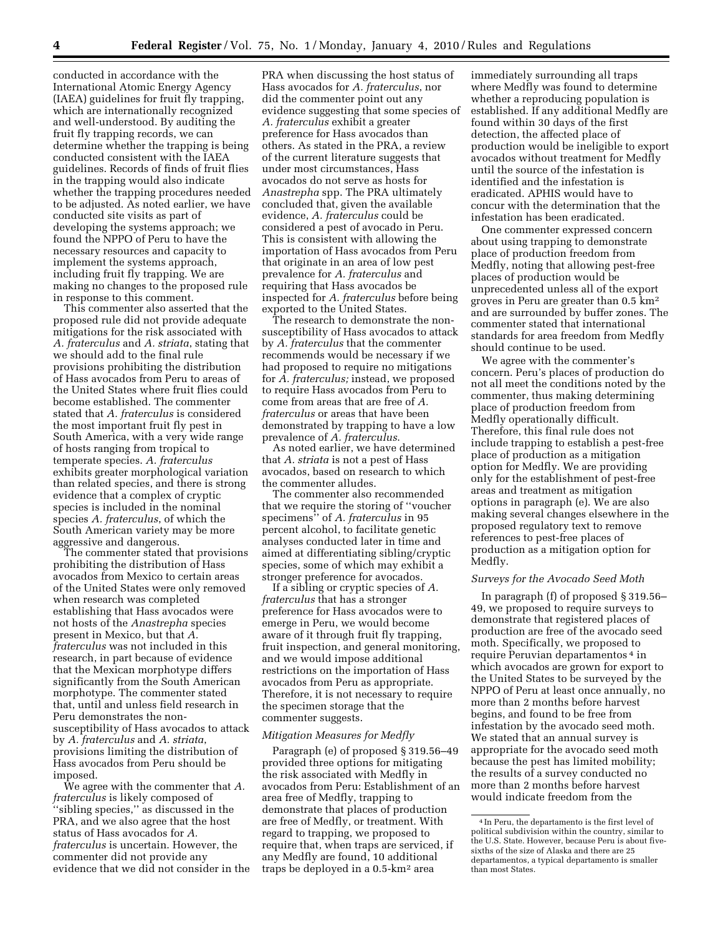conducted in accordance with the International Atomic Energy Agency (IAEA) guidelines for fruit fly trapping, which are internationally recognized and well-understood. By auditing the fruit fly trapping records, we can determine whether the trapping is being conducted consistent with the IAEA guidelines. Records of finds of fruit flies in the trapping would also indicate whether the trapping procedures needed to be adjusted. As noted earlier, we have conducted site visits as part of developing the systems approach; we found the NPPO of Peru to have the necessary resources and capacity to implement the systems approach, including fruit fly trapping. We are making no changes to the proposed rule in response to this comment.

This commenter also asserted that the proposed rule did not provide adequate mitigations for the risk associated with *A. fraterculus* and *A. striata*, stating that we should add to the final rule provisions prohibiting the distribution of Hass avocados from Peru to areas of the United States where fruit flies could become established. The commenter stated that *A. fraterculus* is considered the most important fruit fly pest in South America, with a very wide range of hosts ranging from tropical to temperate species. *A. fraterculus*  exhibits greater morphological variation than related species, and there is strong evidence that a complex of cryptic species is included in the nominal species *A. fraterculus*, of which the South American variety may be more aggressive and dangerous.

The commenter stated that provisions prohibiting the distribution of Hass avocados from Mexico to certain areas of the United States were only removed when research was completed establishing that Hass avocados were not hosts of the *Anastrepha* species present in Mexico, but that *A. fraterculus* was not included in this research, in part because of evidence that the Mexican morphotype differs significantly from the South American morphotype. The commenter stated that, until and unless field research in Peru demonstrates the nonsusceptibility of Hass avocados to attack by *A. fraterculus* and *A. striata*, provisions limiting the distribution of Hass avocados from Peru should be imposed.

We agree with the commenter that *A. fraterculus* is likely composed of 'sibling species," as discussed in the PRA, and we also agree that the host status of Hass avocados for *A. fraterculus* is uncertain. However, the commenter did not provide any evidence that we did not consider in the

PRA when discussing the host status of Hass avocados for *A. fraterculus*, nor did the commenter point out any evidence suggesting that some species of *A. fraterculus* exhibit a greater preference for Hass avocados than others. As stated in the PRA, a review of the current literature suggests that under most circumstances, Hass avocados do not serve as hosts for *Anastrepha* spp. The PRA ultimately concluded that, given the available evidence, *A. fraterculus* could be considered a pest of avocado in Peru. This is consistent with allowing the importation of Hass avocados from Peru that originate in an area of low pest prevalence for *A. fraterculus* and requiring that Hass avocados be inspected for *A. fraterculus* before being exported to the United States.

The research to demonstrate the nonsusceptibility of Hass avocados to attack by *A. fraterculus* that the commenter recommends would be necessary if we had proposed to require no mitigations for *A. fraterculus;* instead, we proposed to require Hass avocados from Peru to come from areas that are free of *A. fraterculus* or areas that have been demonstrated by trapping to have a low prevalence of *A. fraterculus*.

As noted earlier, we have determined that *A. striata* is not a pest of Hass avocados, based on research to which the commenter alludes.

The commenter also recommended that we require the storing of ''voucher specimens'' of *A. fraterculus* in 95 percent alcohol, to facilitate genetic analyses conducted later in time and aimed at differentiating sibling/cryptic species, some of which may exhibit a stronger preference for avocados.

If a sibling or cryptic species of *A. fraterculus* that has a stronger preference for Hass avocados were to emerge in Peru, we would become aware of it through fruit fly trapping, fruit inspection, and general monitoring, and we would impose additional restrictions on the importation of Hass avocados from Peru as appropriate. Therefore, it is not necessary to require the specimen storage that the commenter suggests.

#### *Mitigation Measures for Medfly*

Paragraph (e) of proposed § 319.56–49 provided three options for mitigating the risk associated with Medfly in avocados from Peru: Establishment of an area free of Medfly, trapping to demonstrate that places of production are free of Medfly, or treatment. With regard to trapping, we proposed to require that, when traps are serviced, if any Medfly are found, 10 additional traps be deployed in a 0.5-km2 area

immediately surrounding all traps where Medfly was found to determine whether a reproducing population is established. If any additional Medfly are found within 30 days of the first detection, the affected place of production would be ineligible to export avocados without treatment for Medfly until the source of the infestation is identified and the infestation is eradicated. APHIS would have to concur with the determination that the infestation has been eradicated.

One commenter expressed concern about using trapping to demonstrate place of production freedom from Medfly, noting that allowing pest-free places of production would be unprecedented unless all of the export groves in Peru are greater than 0.5 km2 and are surrounded by buffer zones. The commenter stated that international standards for area freedom from Medfly should continue to be used.

We agree with the commenter's concern. Peru's places of production do not all meet the conditions noted by the commenter, thus making determining place of production freedom from Medfly operationally difficult. Therefore, this final rule does not include trapping to establish a pest-free place of production as a mitigation option for Medfly. We are providing only for the establishment of pest-free areas and treatment as mitigation options in paragraph (e). We are also making several changes elsewhere in the proposed regulatory text to remove references to pest-free places of production as a mitigation option for Medfly.

# *Surveys for the Avocado Seed Moth*

In paragraph (f) of proposed § 319.56– 49, we proposed to require surveys to demonstrate that registered places of production are free of the avocado seed moth. Specifically, we proposed to require Peruvian departamentos 4 in which avocados are grown for export to the United States to be surveyed by the NPPO of Peru at least once annually, no more than 2 months before harvest begins, and found to be free from infestation by the avocado seed moth. We stated that an annual survey is appropriate for the avocado seed moth because the pest has limited mobility; the results of a survey conducted no more than 2 months before harvest would indicate freedom from the

<sup>4</sup> In Peru, the departamento is the first level of political subdivision within the country, similar to the U.S. State. However, because Peru is about fivesixths of the size of Alaska and there are 25 departamentos, a typical departamento is smaller than most States.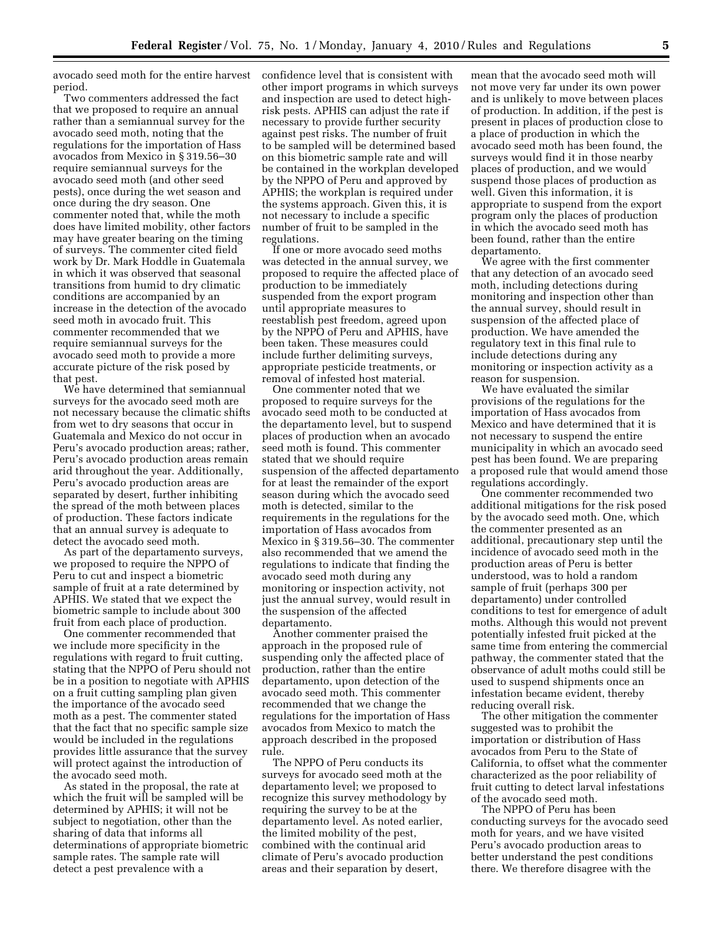avocado seed moth for the entire harvest period.

Two commenters addressed the fact that we proposed to require an annual rather than a semiannual survey for the avocado seed moth, noting that the regulations for the importation of Hass avocados from Mexico in § 319.56–30 require semiannual surveys for the avocado seed moth (and other seed pests), once during the wet season and once during the dry season. One commenter noted that, while the moth does have limited mobility, other factors may have greater bearing on the timing of surveys. The commenter cited field work by Dr. Mark Hoddle in Guatemala in which it was observed that seasonal transitions from humid to dry climatic conditions are accompanied by an increase in the detection of the avocado seed moth in avocado fruit. This commenter recommended that we require semiannual surveys for the avocado seed moth to provide a more accurate picture of the risk posed by that pest.

We have determined that semiannual surveys for the avocado seed moth are not necessary because the climatic shifts from wet to dry seasons that occur in Guatemala and Mexico do not occur in Peru's avocado production areas; rather, Peru's avocado production areas remain arid throughout the year. Additionally, Peru's avocado production areas are separated by desert, further inhibiting the spread of the moth between places of production. These factors indicate that an annual survey is adequate to detect the avocado seed moth.

As part of the departamento surveys, we proposed to require the NPPO of Peru to cut and inspect a biometric sample of fruit at a rate determined by APHIS. We stated that we expect the biometric sample to include about 300 fruit from each place of production.

One commenter recommended that we include more specificity in the regulations with regard to fruit cutting, stating that the NPPO of Peru should not be in a position to negotiate with APHIS on a fruit cutting sampling plan given the importance of the avocado seed moth as a pest. The commenter stated that the fact that no specific sample size would be included in the regulations provides little assurance that the survey will protect against the introduction of the avocado seed moth.

As stated in the proposal, the rate at which the fruit will be sampled will be determined by APHIS; it will not be subject to negotiation, other than the sharing of data that informs all determinations of appropriate biometric sample rates. The sample rate will detect a pest prevalence with a

confidence level that is consistent with other import programs in which surveys and inspection are used to detect highrisk pests. APHIS can adjust the rate if necessary to provide further security against pest risks. The number of fruit to be sampled will be determined based on this biometric sample rate and will be contained in the workplan developed by the NPPO of Peru and approved by APHIS; the workplan is required under the systems approach. Given this, it is not necessary to include a specific number of fruit to be sampled in the regulations.

If one or more avocado seed moths was detected in the annual survey, we proposed to require the affected place of production to be immediately suspended from the export program until appropriate measures to reestablish pest freedom, agreed upon by the NPPO of Peru and APHIS, have been taken. These measures could include further delimiting surveys, appropriate pesticide treatments, or removal of infested host material.

One commenter noted that we proposed to require surveys for the avocado seed moth to be conducted at the departamento level, but to suspend places of production when an avocado seed moth is found. This commenter stated that we should require suspension of the affected departamento for at least the remainder of the export season during which the avocado seed moth is detected, similar to the requirements in the regulations for the importation of Hass avocados from Mexico in § 319.56–30. The commenter also recommended that we amend the regulations to indicate that finding the avocado seed moth during any monitoring or inspection activity, not just the annual survey, would result in the suspension of the affected departamento.

Another commenter praised the approach in the proposed rule of suspending only the affected place of production, rather than the entire departamento, upon detection of the avocado seed moth. This commenter recommended that we change the regulations for the importation of Hass avocados from Mexico to match the approach described in the proposed rule.

The NPPO of Peru conducts its surveys for avocado seed moth at the departamento level; we proposed to recognize this survey methodology by requiring the survey to be at the departamento level. As noted earlier, the limited mobility of the pest, combined with the continual arid climate of Peru's avocado production areas and their separation by desert,

mean that the avocado seed moth will not move very far under its own power and is unlikely to move between places of production. In addition, if the pest is present in places of production close to a place of production in which the avocado seed moth has been found, the surveys would find it in those nearby places of production, and we would suspend those places of production as well. Given this information, it is appropriate to suspend from the export program only the places of production in which the avocado seed moth has been found, rather than the entire departamento.

We agree with the first commenter that any detection of an avocado seed moth, including detections during monitoring and inspection other than the annual survey, should result in suspension of the affected place of production. We have amended the regulatory text in this final rule to include detections during any monitoring or inspection activity as a reason for suspension.

We have evaluated the similar provisions of the regulations for the importation of Hass avocados from Mexico and have determined that it is not necessary to suspend the entire municipality in which an avocado seed pest has been found. We are preparing a proposed rule that would amend those regulations accordingly.

One commenter recommended two additional mitigations for the risk posed by the avocado seed moth. One, which the commenter presented as an additional, precautionary step until the incidence of avocado seed moth in the production areas of Peru is better understood, was to hold a random sample of fruit (perhaps 300 per departamento) under controlled conditions to test for emergence of adult moths. Although this would not prevent potentially infested fruit picked at the same time from entering the commercial pathway, the commenter stated that the observance of adult moths could still be used to suspend shipments once an infestation became evident, thereby reducing overall risk.

The other mitigation the commenter suggested was to prohibit the importation or distribution of Hass avocados from Peru to the State of California, to offset what the commenter characterized as the poor reliability of fruit cutting to detect larval infestations of the avocado seed moth.

The NPPO of Peru has been conducting surveys for the avocado seed moth for years, and we have visited Peru's avocado production areas to better understand the pest conditions there. We therefore disagree with the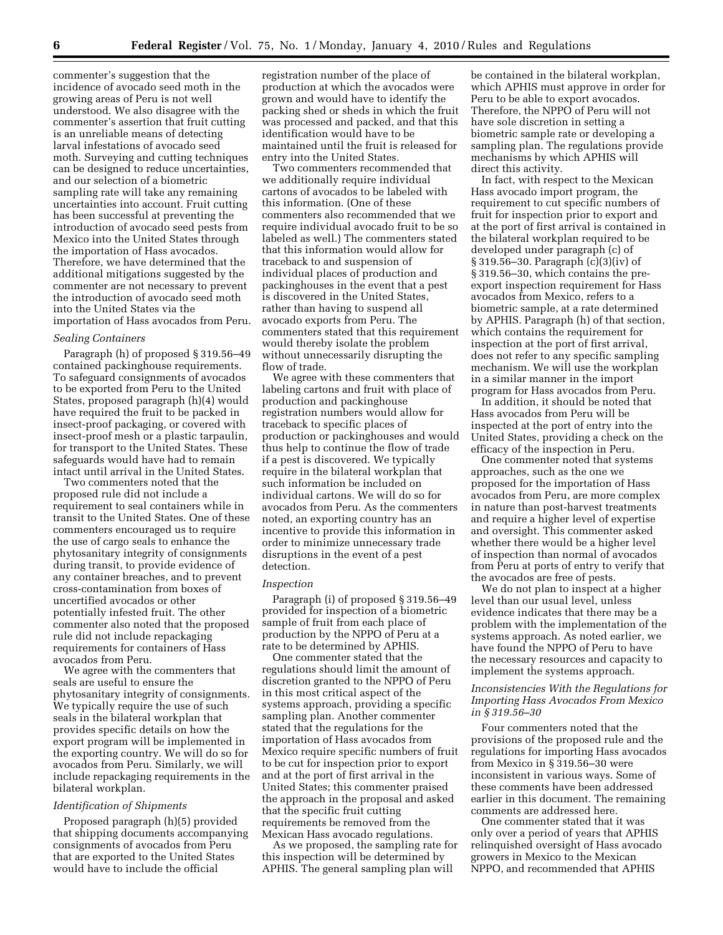commenter's suggestion that the incidence of avocado seed moth in the growing areas of Peru is not well understood. We also disagree with the commenter's assertion that fruit cutting is an unreliable means of detecting larval infestations of avocado seed moth. Surveying and cutting techniques can be designed to reduce uncertainties, and our selection of a biometric sampling rate will take any remaining uncertainties into account. Fruit cutting has been successful at preventing the introduction of avocado seed pests from Mexico into the United States through the importation of Hass avocados. Therefore, we have determined that the additional mitigations suggested by the commenter are not necessary to prevent the introduction of avocado seed moth into the United States via the importation of Hass avocados from Peru.

#### *Sealing Containers*

Paragraph (h) of proposed § 319.56–49 contained packinghouse requirements. To safeguard consignments of avocados to be exported from Peru to the United States, proposed paragraph (h)(4) would have required the fruit to be packed in insect-proof packaging, or covered with insect-proof mesh or a plastic tarpaulin, for transport to the United States. These safeguards would have had to remain intact until arrival in the United States.

Two commenters noted that the proposed rule did not include a requirement to seal containers while in transit to the United States. One of these commenters encouraged us to require the use of cargo seals to enhance the phytosanitary integrity of consignments during transit, to provide evidence of any container breaches, and to prevent cross-contamination from boxes of uncertified avocados or other potentially infested fruit. The other commenter also noted that the proposed rule did not include repackaging requirements for containers of Hass avocados from Peru.

We agree with the commenters that seals are useful to ensure the phytosanitary integrity of consignments. We typically require the use of such seals in the bilateral workplan that provides specific details on how the export program will be implemented in the exporting country. We will do so for avocados from Peru. Similarly, we will include repackaging requirements in the bilateral workplan.

## *Identification of Shipments*

Proposed paragraph (h)(5) provided that shipping documents accompanying consignments of avocados from Peru that are exported to the United States would have to include the official

registration number of the place of production at which the avocados were grown and would have to identify the packing shed or sheds in which the fruit was processed and packed, and that this identification would have to be maintained until the fruit is released for entry into the United States.

Two commenters recommended that we additionally require individual cartons of avocados to be labeled with this information. (One of these commenters also recommended that we require individual avocado fruit to be so labeled as well.) The commenters stated that this information would allow for traceback to and suspension of individual places of production and packinghouses in the event that a pest is discovered in the United States, rather than having to suspend all avocado exports from Peru. The commenters stated that this requirement would thereby isolate the problem without unnecessarily disrupting the flow of trade.

We agree with these commenters that labeling cartons and fruit with place of production and packinghouse registration numbers would allow for traceback to specific places of production or packinghouses and would thus help to continue the flow of trade if a pest is discovered. We typically require in the bilateral workplan that such information be included on individual cartons. We will do so for avocados from Peru. As the commenters noted, an exporting country has an incentive to provide this information in order to minimize unnecessary trade disruptions in the event of a pest detection.

#### *Inspection*

Paragraph (i) of proposed § 319.56–49 provided for inspection of a biometric sample of fruit from each place of production by the NPPO of Peru at a rate to be determined by APHIS.

One commenter stated that the regulations should limit the amount of discretion granted to the NPPO of Peru in this most critical aspect of the systems approach, providing a specific sampling plan. Another commenter stated that the regulations for the importation of Hass avocados from Mexico require specific numbers of fruit to be cut for inspection prior to export and at the port of first arrival in the United States; this commenter praised the approach in the proposal and asked that the specific fruit cutting requirements be removed from the Mexican Hass avocado regulations.

As we proposed, the sampling rate for this inspection will be determined by APHIS. The general sampling plan will

be contained in the bilateral workplan, which APHIS must approve in order for Peru to be able to export avocados. Therefore, the NPPO of Peru will not have sole discretion in setting a biometric sample rate or developing a sampling plan. The regulations provide mechanisms by which APHIS will direct this activity.

In fact, with respect to the Mexican Hass avocado import program, the requirement to cut specific numbers of fruit for inspection prior to export and at the port of first arrival is contained in the bilateral workplan required to be developed under paragraph (c) of § 319.56–30. Paragraph (c)(3)(iv) of § 319.56–30, which contains the preexport inspection requirement for Hass avocados from Mexico, refers to a biometric sample, at a rate determined by APHIS. Paragraph (h) of that section, which contains the requirement for inspection at the port of first arrival, does not refer to any specific sampling mechanism. We will use the workplan in a similar manner in the import program for Hass avocados from Peru.

In addition, it should be noted that Hass avocados from Peru will be inspected at the port of entry into the United States, providing a check on the efficacy of the inspection in Peru.

One commenter noted that systems approaches, such as the one we proposed for the importation of Hass avocados from Peru, are more complex in nature than post-harvest treatments and require a higher level of expertise and oversight. This commenter asked whether there would be a higher level of inspection than normal of avocados from Peru at ports of entry to verify that the avocados are free of pests.

We do not plan to inspect at a higher level than our usual level, unless evidence indicates that there may be a problem with the implementation of the systems approach. As noted earlier, we have found the NPPO of Peru to have the necessary resources and capacity to implement the systems approach.

# *Inconsistencies With the Regulations for Importing Hass Avocados From Mexico in § 319.56–30*

Four commenters noted that the provisions of the proposed rule and the regulations for importing Hass avocados from Mexico in § 319.56–30 were inconsistent in various ways. Some of these comments have been addressed earlier in this document. The remaining comments are addressed here.

One commenter stated that it was only over a period of years that APHIS relinquished oversight of Hass avocado growers in Mexico to the Mexican NPPO, and recommended that APHIS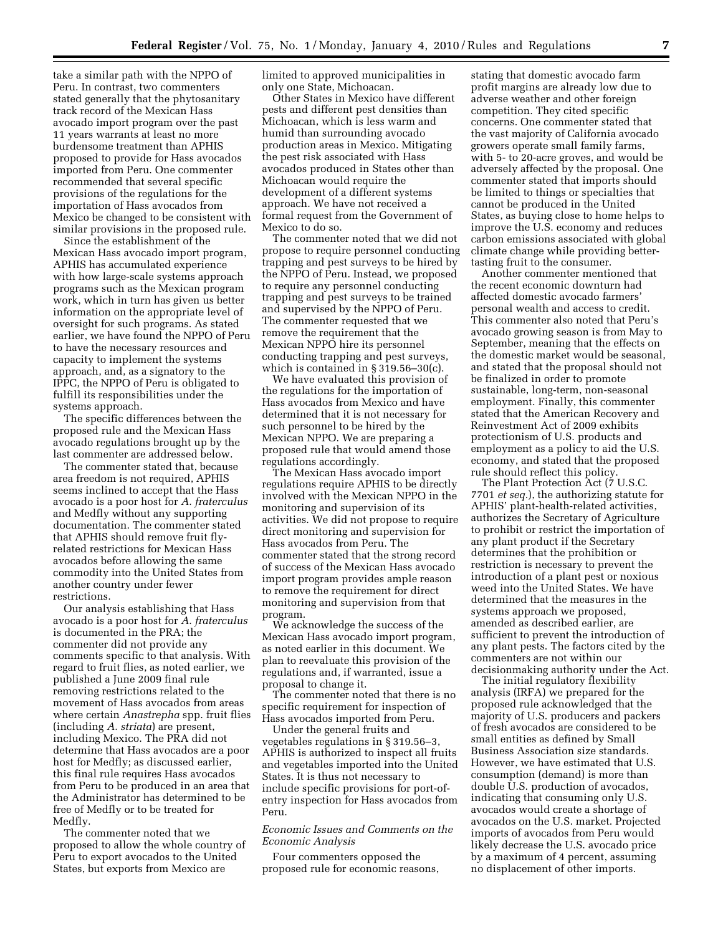take a similar path with the NPPO of Peru. In contrast, two commenters stated generally that the phytosanitary track record of the Mexican Hass avocado import program over the past 11 years warrants at least no more burdensome treatment than APHIS proposed to provide for Hass avocados imported from Peru. One commenter recommended that several specific provisions of the regulations for the importation of Hass avocados from Mexico be changed to be consistent with similar provisions in the proposed rule.

Since the establishment of the Mexican Hass avocado import program, APHIS has accumulated experience with how large-scale systems approach programs such as the Mexican program work, which in turn has given us better information on the appropriate level of oversight for such programs. As stated earlier, we have found the NPPO of Peru to have the necessary resources and capacity to implement the systems approach, and, as a signatory to the IPPC, the NPPO of Peru is obligated to fulfill its responsibilities under the systems approach.

The specific differences between the proposed rule and the Mexican Hass avocado regulations brought up by the last commenter are addressed below.

The commenter stated that, because area freedom is not required, APHIS seems inclined to accept that the Hass avocado is a poor host for *A. fraterculus*  and Medfly without any supporting documentation. The commenter stated that APHIS should remove fruit flyrelated restrictions for Mexican Hass avocados before allowing the same commodity into the United States from another country under fewer restrictions.

Our analysis establishing that Hass avocado is a poor host for *A. fraterculus*  is documented in the PRA; the commenter did not provide any comments specific to that analysis. With regard to fruit flies, as noted earlier, we published a June 2009 final rule removing restrictions related to the movement of Hass avocados from areas where certain *Anastrepha* spp. fruit flies (including *A. striata*) are present, including Mexico. The PRA did not determine that Hass avocados are a poor host for Medfly; as discussed earlier, this final rule requires Hass avocados from Peru to be produced in an area that the Administrator has determined to be free of Medfly or to be treated for Medfly.

The commenter noted that we proposed to allow the whole country of Peru to export avocados to the United States, but exports from Mexico are

limited to approved municipalities in only one State, Michoacan.

Other States in Mexico have different pests and different pest densities than Michoacan, which is less warm and humid than surrounding avocado production areas in Mexico. Mitigating the pest risk associated with Hass avocados produced in States other than Michoacan would require the development of a different systems approach. We have not received a formal request from the Government of Mexico to do so.

The commenter noted that we did not propose to require personnel conducting trapping and pest surveys to be hired by the NPPO of Peru. Instead, we proposed to require any personnel conducting trapping and pest surveys to be trained and supervised by the NPPO of Peru. The commenter requested that we remove the requirement that the Mexican NPPO hire its personnel conducting trapping and pest surveys, which is contained in § 319.56–30(c).

We have evaluated this provision of the regulations for the importation of Hass avocados from Mexico and have determined that it is not necessary for such personnel to be hired by the Mexican NPPO. We are preparing a proposed rule that would amend those regulations accordingly.

The Mexican Hass avocado import regulations require APHIS to be directly involved with the Mexican NPPO in the monitoring and supervision of its activities. We did not propose to require direct monitoring and supervision for Hass avocados from Peru. The commenter stated that the strong record of success of the Mexican Hass avocado import program provides ample reason to remove the requirement for direct monitoring and supervision from that program.

We acknowledge the success of the Mexican Hass avocado import program, as noted earlier in this document. We plan to reevaluate this provision of the regulations and, if warranted, issue a proposal to change it.

The commenter noted that there is no specific requirement for inspection of Hass avocados imported from Peru.

Under the general fruits and vegetables regulations in § 319.56–3, APHIS is authorized to inspect all fruits and vegetables imported into the United States. It is thus not necessary to include specific provisions for port-ofentry inspection for Hass avocados from Peru.

*Economic Issues and Comments on the Economic Analysis* 

Four commenters opposed the proposed rule for economic reasons,

stating that domestic avocado farm profit margins are already low due to adverse weather and other foreign competition. They cited specific concerns. One commenter stated that the vast majority of California avocado growers operate small family farms, with 5- to 20-acre groves, and would be adversely affected by the proposal. One commenter stated that imports should be limited to things or specialties that cannot be produced in the United States, as buying close to home helps to improve the U.S. economy and reduces carbon emissions associated with global climate change while providing bettertasting fruit to the consumer.

Another commenter mentioned that the recent economic downturn had affected domestic avocado farmers' personal wealth and access to credit. This commenter also noted that Peru's avocado growing season is from May to September, meaning that the effects on the domestic market would be seasonal, and stated that the proposal should not be finalized in order to promote sustainable, long-term, non-seasonal employment. Finally, this commenter stated that the American Recovery and Reinvestment Act of 2009 exhibits protectionism of U.S. products and employment as a policy to aid the U.S. economy, and stated that the proposed rule should reflect this policy.

The Plant Protection Act (7 U.S.C. 7701 *et seq.*), the authorizing statute for APHIS' plant-health-related activities, authorizes the Secretary of Agriculture to prohibit or restrict the importation of any plant product if the Secretary determines that the prohibition or restriction is necessary to prevent the introduction of a plant pest or noxious weed into the United States. We have determined that the measures in the systems approach we proposed, amended as described earlier, are sufficient to prevent the introduction of any plant pests. The factors cited by the commenters are not within our decisionmaking authority under the Act.

The initial regulatory flexibility analysis (IRFA) we prepared for the proposed rule acknowledged that the majority of U.S. producers and packers of fresh avocados are considered to be small entities as defined by Small Business Association size standards. However, we have estimated that U.S. consumption (demand) is more than double U.S. production of avocados, indicating that consuming only U.S. avocados would create a shortage of avocados on the U.S. market. Projected imports of avocados from Peru would likely decrease the U.S. avocado price by a maximum of 4 percent, assuming no displacement of other imports.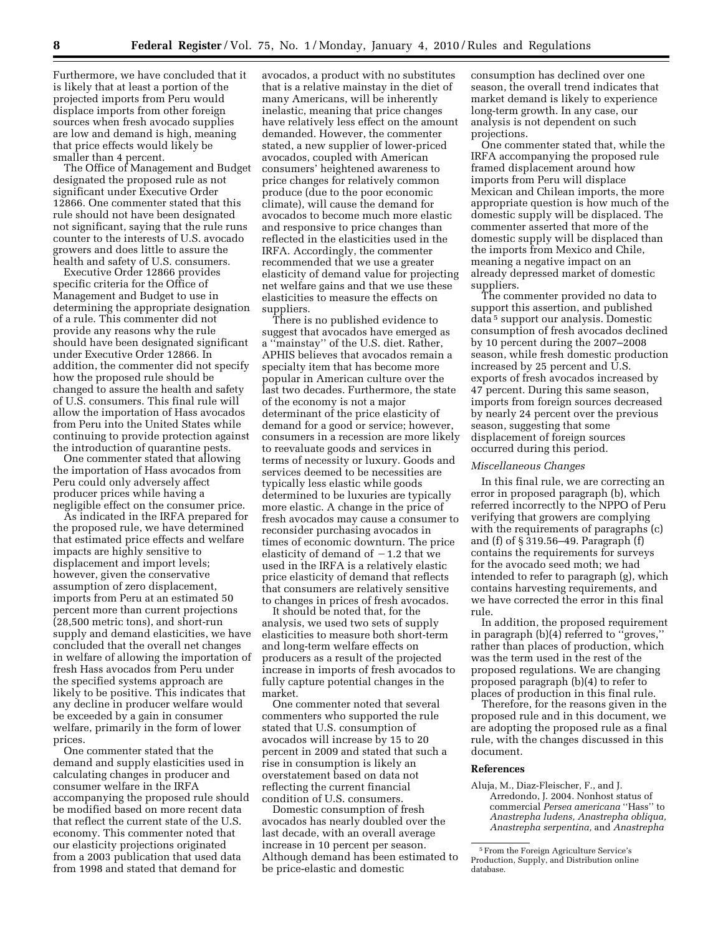Furthermore, we have concluded that it is likely that at least a portion of the projected imports from Peru would displace imports from other foreign sources when fresh avocado supplies are low and demand is high, meaning that price effects would likely be smaller than 4 percent.

The Office of Management and Budget designated the proposed rule as not significant under Executive Order 12866. One commenter stated that this rule should not have been designated not significant, saying that the rule runs counter to the interests of U.S. avocado growers and does little to assure the health and safety of U.S. consumers.

Executive Order 12866 provides specific criteria for the Office of Management and Budget to use in determining the appropriate designation of a rule. This commenter did not provide any reasons why the rule should have been designated significant under Executive Order 12866. In addition, the commenter did not specify how the proposed rule should be changed to assure the health and safety of U.S. consumers. This final rule will allow the importation of Hass avocados from Peru into the United States while continuing to provide protection against the introduction of quarantine pests.

One commenter stated that allowing the importation of Hass avocados from Peru could only adversely affect producer prices while having a negligible effect on the consumer price.

As indicated in the IRFA prepared for the proposed rule, we have determined that estimated price effects and welfare impacts are highly sensitive to displacement and import levels; however, given the conservative assumption of zero displacement, imports from Peru at an estimated 50 percent more than current projections (28,500 metric tons), and short-run supply and demand elasticities, we have concluded that the overall net changes in welfare of allowing the importation of fresh Hass avocados from Peru under the specified systems approach are likely to be positive. This indicates that any decline in producer welfare would be exceeded by a gain in consumer welfare, primarily in the form of lower prices.

One commenter stated that the demand and supply elasticities used in calculating changes in producer and consumer welfare in the IRFA accompanying the proposed rule should be modified based on more recent data that reflect the current state of the U.S. economy. This commenter noted that our elasticity projections originated from a 2003 publication that used data from 1998 and stated that demand for

avocados, a product with no substitutes that is a relative mainstay in the diet of many Americans, will be inherently inelastic, meaning that price changes have relatively less effect on the amount demanded. However, the commenter stated, a new supplier of lower-priced avocados, coupled with American consumers' heightened awareness to price changes for relatively common produce (due to the poor economic climate), will cause the demand for avocados to become much more elastic and responsive to price changes than reflected in the elasticities used in the IRFA. Accordingly, the commenter recommended that we use a greater elasticity of demand value for projecting net welfare gains and that we use these elasticities to measure the effects on suppliers.

There is no published evidence to suggest that avocados have emerged as a ''mainstay'' of the U.S. diet. Rather, APHIS believes that avocados remain a specialty item that has become more popular in American culture over the last two decades. Furthermore, the state of the economy is not a major determinant of the price elasticity of demand for a good or service; however, consumers in a recession are more likely to reevaluate goods and services in terms of necessity or luxury. Goods and services deemed to be necessities are typically less elastic while goods determined to be luxuries are typically more elastic. A change in the price of fresh avocados may cause a consumer to reconsider purchasing avocados in times of economic downturn. The price elasticity of demand of  $-1.2$  that we used in the IRFA is a relatively elastic price elasticity of demand that reflects that consumers are relatively sensitive to changes in prices of fresh avocados.

It should be noted that, for the analysis, we used two sets of supply elasticities to measure both short-term and long-term welfare effects on producers as a result of the projected increase in imports of fresh avocados to fully capture potential changes in the market.

One commenter noted that several commenters who supported the rule stated that U.S. consumption of avocados will increase by 15 to 20 percent in 2009 and stated that such a rise in consumption is likely an overstatement based on data not reflecting the current financial condition of U.S. consumers.

Domestic consumption of fresh avocados has nearly doubled over the last decade, with an overall average increase in 10 percent per season. Although demand has been estimated to be price-elastic and domestic

consumption has declined over one season, the overall trend indicates that market demand is likely to experience long-term growth. In any case, our analysis is not dependent on such projections.

One commenter stated that, while the IRFA accompanying the proposed rule framed displacement around how imports from Peru will displace Mexican and Chilean imports, the more appropriate question is how much of the domestic supply will be displaced. The commenter asserted that more of the domestic supply will be displaced than the imports from Mexico and Chile, meaning a negative impact on an already depressed market of domestic suppliers.

The commenter provided no data to support this assertion, and published data 5 support our analysis. Domestic consumption of fresh avocados declined by 10 percent during the 2007–2008 season, while fresh domestic production increased by 25 percent and U.S. exports of fresh avocados increased by 47 percent. During this same season, imports from foreign sources decreased by nearly 24 percent over the previous season, suggesting that some displacement of foreign sources occurred during this period.

# *Miscellaneous Changes*

In this final rule, we are correcting an error in proposed paragraph (b), which referred incorrectly to the NPPO of Peru verifying that growers are complying with the requirements of paragraphs (c) and (f) of § 319.56–49. Paragraph (f) contains the requirements for surveys for the avocado seed moth; we had intended to refer to paragraph (g), which contains harvesting requirements, and we have corrected the error in this final rule.

In addition, the proposed requirement in paragraph (b)(4) referred to ''groves,'' rather than places of production, which was the term used in the rest of the proposed regulations. We are changing proposed paragraph (b)(4) to refer to places of production in this final rule.

Therefore, for the reasons given in the proposed rule and in this document, we are adopting the proposed rule as a final rule, with the changes discussed in this document.

#### **References**

Aluja, M., Diaz-Fleischer, F., and J. Arredondo, J. 2004. Nonhost status of commercial *Persea americana* ''Hass'' to *Anastrepha ludens, Anastrepha obliqua, Anastrepha serpentina,* and *Anastrepha* 

<sup>5</sup>From the Foreign Agriculture Service's Production, Supply, and Distribution online database.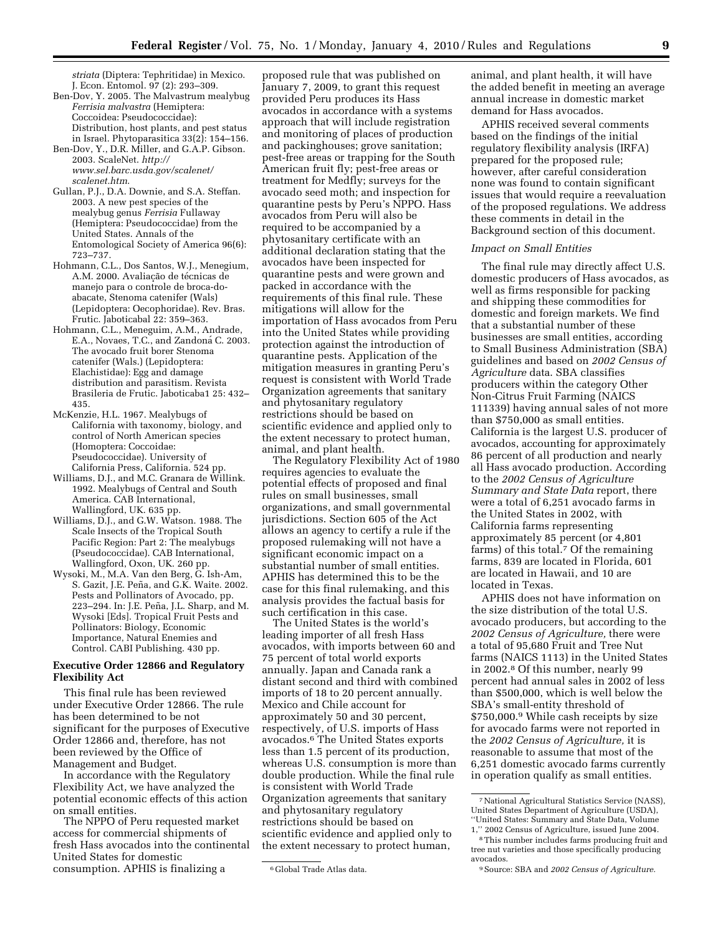*striata* (Diptera: Tephritidae) in Mexico. J. Econ. Entomol. 97 (2): 293–309.

- Ben-Dov, Y. 2005. The Malvastrum mealybug *Ferrisia malvastra* (Hemiptera: Coccoidea: Pseudococcidae): Distribution, host plants, and pest status in Israel. Phytoparasitica 33(2): 154–156.
- Ben-Dov, Y., D.R. Miller, and G.A.P. Gibson. 2003. ScaleNet. *http:// www.sel.barc.usda.gov/scalenet/ scalenet.htm*.
- Gullan, P.J., D.A. Downie, and S.A. Steffan. 2003. A new pest species of the mealybug genus *Ferrisia* Fullaway (Hemiptera: Pseudococcidae) from the United States. Annals of the Entomological Society of America 96(6): 723–737.
- Hohmann, C.L., Dos Santos, W.J., Menegium, A.M. 2000. Avaliação de técnicas de manejo para o controle de broca-doabacate, Stenoma catenifer (Wals) (Lepidoptera: Oecophoridae). Rev. Bras. Frutic. Jaboticabal 22: 359–363.
- Hohmann, C.L., Meneguim, A.M., Andrade, E.A., Novaes, T.C., and Zandoná C. 2003. The avocado fruit borer Stenoma catenifer (Wals.) (Lepidoptera: Elachistidae): Egg and damage distribution and parasitism. Revista Brasileria de Frutic. Jaboticaba1 25: 432– 435.
- McKenzie, H.L. 1967. Mealybugs of California with taxonomy, biology, and control of North American species (Homoptera: Coccoidae: Pseudococcidae). University of California Press, California. 524 pp.
- Williams, D.J., and M.C. Granara de Willink. 1992. Mealybugs of Central and South America. CAB International, Wallingford, UK. 635 pp.
- Williams, D.J., and G.W. Watson. 1988. The Scale Insects of the Tropical South Pacific Region: Part 2: The mealybugs (Pseudococcidae). CAB International, Wallingford, Oxon, UK. 260 pp.
- Wysoki, M., M.A. Van den Berg, G. Ish-Am, S. Gazit, J.E. Peña, and G.K. Waite. 2002. Pests and Pollinators of Avocado, pp. 223–294. In: J.E. Peña, J.L. Sharp, and M. Wysoki [Eds]. Tropical Fruit Pests and Pollinators: Biology, Economic Importance, Natural Enemies and Control. CABI Publishing. 430 pp.

# **Executive Order 12866 and Regulatory Flexibility Act**

This final rule has been reviewed under Executive Order 12866. The rule has been determined to be not significant for the purposes of Executive Order 12866 and, therefore, has not been reviewed by the Office of Management and Budget.

In accordance with the Regulatory Flexibility Act, we have analyzed the potential economic effects of this action on small entities.

The NPPO of Peru requested market access for commercial shipments of fresh Hass avocados into the continental United States for domestic consumption. APHIS is finalizing a

proposed rule that was published on January 7, 2009, to grant this request provided Peru produces its Hass avocados in accordance with a systems approach that will include registration and monitoring of places of production and packinghouses; grove sanitation; pest-free areas or trapping for the South American fruit fly; pest-free areas or treatment for Medfly; surveys for the avocado seed moth; and inspection for quarantine pests by Peru's NPPO. Hass avocados from Peru will also be required to be accompanied by a phytosanitary certificate with an additional declaration stating that the avocados have been inspected for quarantine pests and were grown and packed in accordance with the requirements of this final rule. These mitigations will allow for the importation of Hass avocados from Peru into the United States while providing protection against the introduction of quarantine pests. Application of the mitigation measures in granting Peru's request is consistent with World Trade Organization agreements that sanitary and phytosanitary regulatory restrictions should be based on scientific evidence and applied only to the extent necessary to protect human, animal, and plant health.

The Regulatory Flexibility Act of 1980 requires agencies to evaluate the potential effects of proposed and final rules on small businesses, small organizations, and small governmental jurisdictions. Section 605 of the Act allows an agency to certify a rule if the proposed rulemaking will not have a significant economic impact on a substantial number of small entities. APHIS has determined this to be the case for this final rulemaking, and this analysis provides the factual basis for such certification in this case.

The United States is the world's leading importer of all fresh Hass avocados, with imports between 60 and 75 percent of total world exports annually. Japan and Canada rank a distant second and third with combined imports of 18 to 20 percent annually. Mexico and Chile account for approximately 50 and 30 percent, respectively, of U.S. imports of Hass avocados.6 The United States exports less than 1.5 percent of its production, whereas U.S. consumption is more than double production. While the final rule is consistent with World Trade Organization agreements that sanitary and phytosanitary regulatory restrictions should be based on scientific evidence and applied only to the extent necessary to protect human,

animal, and plant health, it will have the added benefit in meeting an average annual increase in domestic market demand for Hass avocados.

APHIS received several comments based on the findings of the initial regulatory flexibility analysis (IRFA) prepared for the proposed rule; however, after careful consideration none was found to contain significant issues that would require a reevaluation of the proposed regulations. We address these comments in detail in the Background section of this document.

#### *Impact on Small Entities*

The final rule may directly affect U.S. domestic producers of Hass avocados, as well as firms responsible for packing and shipping these commodities for domestic and foreign markets. We find that a substantial number of these businesses are small entities, according to Small Business Administration (SBA) guidelines and based on *2002 Census of Agriculture* data. SBA classifies producers within the category Other Non-Citrus Fruit Farming (NAICS 111339) having annual sales of not more than \$750,000 as small entities. California is the largest U.S. producer of avocados, accounting for approximately 86 percent of all production and nearly all Hass avocado production. According to the *2002 Census of Agriculture Summary and State Data* report, there were a total of 6,251 avocado farms in the United States in 2002, with California farms representing approximately 85 percent (or 4,801 farms) of this total.7 Of the remaining farms, 839 are located in Florida, 601 are located in Hawaii, and 10 are located in Texas.

APHIS does not have information on the size distribution of the total U.S. avocado producers, but according to the *2002 Census of Agriculture,* there were a total of 95,680 Fruit and Tree Nut farms (NAICS 1113) in the United States in 2002.8 Of this number, nearly 99 percent had annual sales in 2002 of less than \$500,000, which is well below the SBA's small-entity threshold of \$750,000.9 While cash receipts by size for avocado farms were not reported in the *2002 Census of Agriculture,* it is reasonable to assume that most of the 6,251 domestic avocado farms currently in operation qualify as small entities.

<sup>6</sup> Global Trade Atlas data.

<sup>7</sup>National Agricultural Statistics Service (NASS), United States Department of Agriculture (USDA), ''United States: Summary and State Data, Volume

<sup>1,&#</sup>x27;' 2002 Census of Agriculture, issued June 2004. 8This number includes farms producing fruit and

tree nut varieties and those specifically producing avocados.

<sup>9</sup>Source: SBA and *2002 Census of Agriculture.*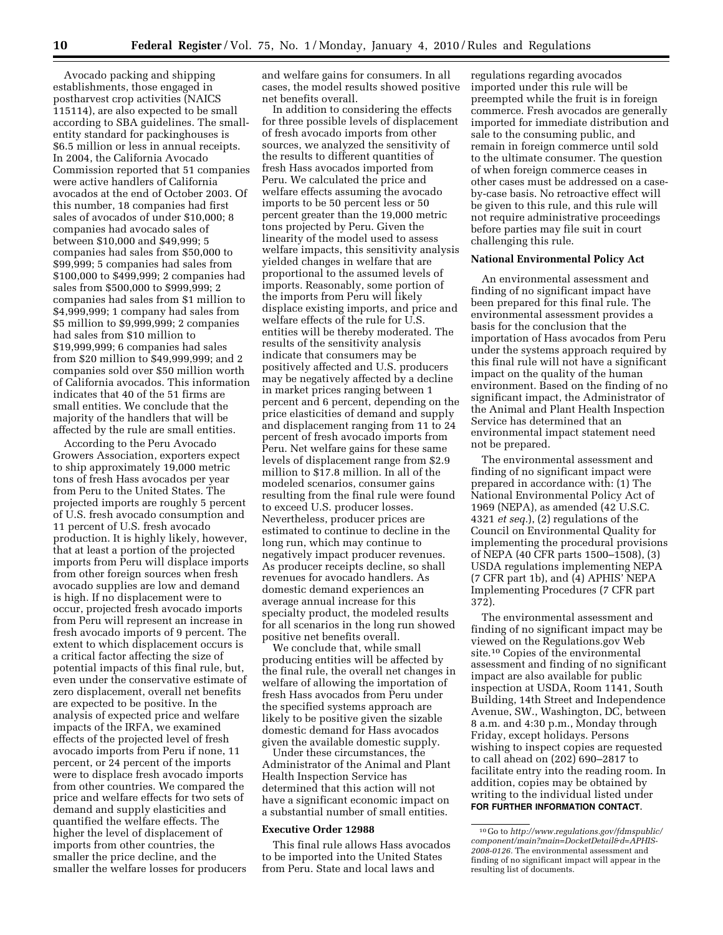Avocado packing and shipping establishments, those engaged in postharvest crop activities (NAICS 115114), are also expected to be small according to SBA guidelines. The smallentity standard for packinghouses is \$6.5 million or less in annual receipts. In 2004, the California Avocado Commission reported that 51 companies were active handlers of California avocados at the end of October 2003. Of this number, 18 companies had first sales of avocados of under \$10,000; 8 companies had avocado sales of between \$10,000 and \$49,999; 5 companies had sales from \$50,000 to \$99,999; 5 companies had sales from \$100,000 to \$499,999; 2 companies had sales from \$500,000 to \$999,999; 2 companies had sales from \$1 million to \$4,999,999; 1 company had sales from \$5 million to \$9,999,999; 2 companies had sales from \$10 million to \$19,999,999; 6 companies had sales from \$20 million to \$49,999,999; and 2 companies sold over \$50 million worth of California avocados. This information indicates that 40 of the 51 firms are small entities. We conclude that the majority of the handlers that will be affected by the rule are small entities.

According to the Peru Avocado Growers Association, exporters expect to ship approximately 19,000 metric tons of fresh Hass avocados per year from Peru to the United States. The projected imports are roughly 5 percent of U.S. fresh avocado consumption and 11 percent of U.S. fresh avocado production. It is highly likely, however, that at least a portion of the projected imports from Peru will displace imports from other foreign sources when fresh avocado supplies are low and demand is high. If no displacement were to occur, projected fresh avocado imports from Peru will represent an increase in fresh avocado imports of 9 percent. The extent to which displacement occurs is a critical factor affecting the size of potential impacts of this final rule, but, even under the conservative estimate of zero displacement, overall net benefits are expected to be positive. In the analysis of expected price and welfare impacts of the IRFA, we examined effects of the projected level of fresh avocado imports from Peru if none, 11 percent, or 24 percent of the imports were to displace fresh avocado imports from other countries. We compared the price and welfare effects for two sets of demand and supply elasticities and quantified the welfare effects. The higher the level of displacement of imports from other countries, the smaller the price decline, and the smaller the welfare losses for producers

and welfare gains for consumers. In all cases, the model results showed positive net benefits overall.

In addition to considering the effects for three possible levels of displacement of fresh avocado imports from other sources, we analyzed the sensitivity of the results to different quantities of fresh Hass avocados imported from Peru. We calculated the price and welfare effects assuming the avocado imports to be 50 percent less or 50 percent greater than the 19,000 metric tons projected by Peru. Given the linearity of the model used to assess welfare impacts, this sensitivity analysis yielded changes in welfare that are proportional to the assumed levels of imports. Reasonably, some portion of the imports from Peru will likely displace existing imports, and price and welfare effects of the rule for U.S. entities will be thereby moderated. The results of the sensitivity analysis indicate that consumers may be positively affected and U.S. producers may be negatively affected by a decline in market prices ranging between 1 percent and 6 percent, depending on the price elasticities of demand and supply and displacement ranging from 11 to 24 percent of fresh avocado imports from Peru. Net welfare gains for these same levels of displacement range from \$2.9 million to \$17.8 million. In all of the modeled scenarios, consumer gains resulting from the final rule were found to exceed U.S. producer losses. Nevertheless, producer prices are estimated to continue to decline in the long run, which may continue to negatively impact producer revenues. As producer receipts decline, so shall revenues for avocado handlers. As domestic demand experiences an average annual increase for this specialty product, the modeled results for all scenarios in the long run showed positive net benefits overall.

We conclude that, while small producing entities will be affected by the final rule, the overall net changes in welfare of allowing the importation of fresh Hass avocados from Peru under the specified systems approach are likely to be positive given the sizable domestic demand for Hass avocados given the available domestic supply.

Under these circumstances, the Administrator of the Animal and Plant Health Inspection Service has determined that this action will not have a significant economic impact on a substantial number of small entities.

# **Executive Order 12988**

This final rule allows Hass avocados to be imported into the United States from Peru. State and local laws and

regulations regarding avocados imported under this rule will be preempted while the fruit is in foreign commerce. Fresh avocados are generally imported for immediate distribution and sale to the consuming public, and remain in foreign commerce until sold to the ultimate consumer. The question of when foreign commerce ceases in other cases must be addressed on a caseby-case basis. No retroactive effect will be given to this rule, and this rule will not require administrative proceedings before parties may file suit in court challenging this rule.

# **National Environmental Policy Act**

An environmental assessment and finding of no significant impact have been prepared for this final rule. The environmental assessment provides a basis for the conclusion that the importation of Hass avocados from Peru under the systems approach required by this final rule will not have a significant impact on the quality of the human environment. Based on the finding of no significant impact, the Administrator of the Animal and Plant Health Inspection Service has determined that an environmental impact statement need not be prepared.

The environmental assessment and finding of no significant impact were prepared in accordance with: (1) The National Environmental Policy Act of 1969 (NEPA), as amended (42 U.S.C. 4321 *et seq.*), (2) regulations of the Council on Environmental Quality for implementing the procedural provisions of NEPA (40 CFR parts 1500–1508), (3) USDA regulations implementing NEPA (7 CFR part 1b), and (4) APHIS' NEPA Implementing Procedures (7 CFR part 372).

The environmental assessment and finding of no significant impact may be viewed on the Regulations.gov Web site.10 Copies of the environmental assessment and finding of no significant impact are also available for public inspection at USDA, Room 1141, South Building, 14th Street and Independence Avenue, SW., Washington, DC, between 8 a.m. and 4:30 p.m., Monday through Friday, except holidays. Persons wishing to inspect copies are requested to call ahead on (202) 690–2817 to facilitate entry into the reading room. In addition, copies may be obtained by writing to the individual listed under **FOR FURTHER INFORMATION CONTACT**.

<sup>10</sup> Go to *http://www.regulations.gov/fdmspublic/ component/main?main=DocketDetail&d=APHIS-2008-0126.* The environmental assessment and finding of no significant impact will appear in the resulting list of documents.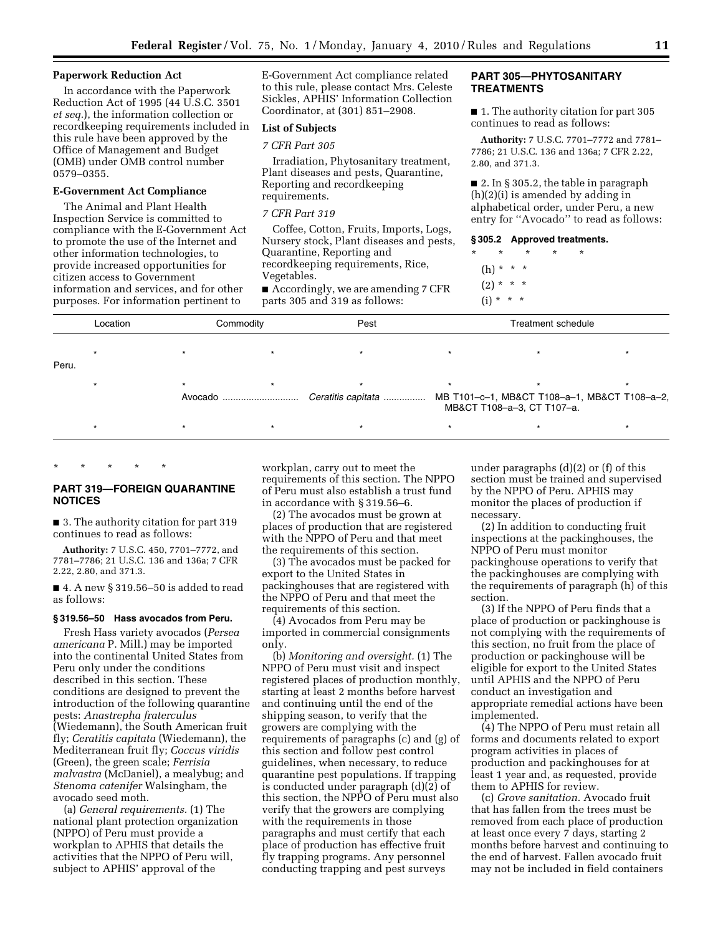#### **Paperwork Reduction Act**

In accordance with the Paperwork Reduction Act of 1995 (44 U.S.C. 3501 *et seq.*), the information collection or recordkeeping requirements included in this rule have been approved by the Office of Management and Budget (OMB) under OMB control number 0579–0355.

#### **E-Government Act Compliance**

The Animal and Plant Health Inspection Service is committed to compliance with the E-Government Act to promote the use of the Internet and other information technologies, to provide increased opportunities for citizen access to Government information and services, and for other purposes. For information pertinent to

E-Government Act compliance related to this rule, please contact Mrs. Celeste Sickles, APHIS' Information Collection Coordinator, at (301) 851–2908.

# **List of Subjects**

# *7 CFR Part 305*

Irradiation, Phytosanitary treatment, Plant diseases and pests, Quarantine, Reporting and recordkeeping requirements.

#### *7 CFR Part 319*

Coffee, Cotton, Fruits, Imports, Logs, Nursery stock, Plant diseases and pests, Quarantine, Reporting and recordkeeping requirements, Rice, Vegetables.

■ Accordingly, we are amending 7 CFR parts 305 and 319 as follows:

# **PART 305—PHYTOSANITARY TREATMENTS**

■ 1. The authority citation for part 305 continues to read as follows:

**Authority:** 7 U.S.C. 7701–7772 and 7781– 7786; 21 U.S.C. 136 and 136a; 7 CFR 2.22, 2.80, and 371.3.

 $\blacksquare$  2. In § 305.2, the table in paragraph (h)(2)(i) is amended by adding in alphabetical order, under Peru, a new entry for ''Avocado'' to read as follows:

# **§ 305.2 Approved treatments.**

- \* \* \* \* \* (h) \* \* \*  $(2) * * * *$
- $(i) * * * *$

|       | Location | Commodity |  | Pest | Treatment schedule |                                                                            |  |
|-------|----------|-----------|--|------|--------------------|----------------------------------------------------------------------------|--|
| Peru. |          |           |  |      |                    |                                                                            |  |
|       |          |           |  |      |                    | MB T101-c-1, MB&CT T108-a-1, MB&CT T108-a-2,<br>MB&CT T108-a-3, CT T107-a. |  |
|       |          |           |  |      |                    |                                                                            |  |

# **PART 319—FOREIGN QUARANTINE NOTICES**

\* \* \* \* \*

■ 3. The authority citation for part 319 continues to read as follows:

**Authority:** 7 U.S.C. 450, 7701–7772, and 7781–7786; 21 U.S.C. 136 and 136a; 7 CFR 2.22, 2.80, and 371.3.

 $\blacksquare$  4. A new § 319.56–50 is added to read as follows:

## **§ 319.56–50 Hass avocados from Peru.**

Fresh Hass variety avocados (*Persea americana* P. Mill.) may be imported into the continental United States from Peru only under the conditions described in this section. These conditions are designed to prevent the introduction of the following quarantine pests: *Anastrepha fraterculus*  (Wiedemann), the South American fruit fly; *Ceratitis capitata* (Wiedemann), the Mediterranean fruit fly; *Coccus viridis*  (Green), the green scale; *Ferrisia malvastra* (McDaniel), a mealybug; and *Stenoma catenifer* Walsingham, the avocado seed moth.

(a) *General requirements.* (1) The national plant protection organization (NPPO) of Peru must provide a workplan to APHIS that details the activities that the NPPO of Peru will, subject to APHIS' approval of the

workplan, carry out to meet the requirements of this section. The NPPO of Peru must also establish a trust fund in accordance with § 319.56–6.

(2) The avocados must be grown at places of production that are registered with the NPPO of Peru and that meet the requirements of this section.

(3) The avocados must be packed for export to the United States in packinghouses that are registered with the NPPO of Peru and that meet the requirements of this section.

(4) Avocados from Peru may be imported in commercial consignments only.

(b) *Monitoring and oversight.* (1) The NPPO of Peru must visit and inspect registered places of production monthly, starting at least 2 months before harvest and continuing until the end of the shipping season, to verify that the growers are complying with the requirements of paragraphs (c) and (g) of this section and follow pest control guidelines, when necessary, to reduce quarantine pest populations. If trapping is conducted under paragraph (d)(2) of this section, the NPPO of Peru must also verify that the growers are complying with the requirements in those paragraphs and must certify that each place of production has effective fruit fly trapping programs. Any personnel conducting trapping and pest surveys

under paragraphs (d)(2) or (f) of this section must be trained and supervised by the NPPO of Peru. APHIS may monitor the places of production if necessary.

(2) In addition to conducting fruit inspections at the packinghouses, the NPPO of Peru must monitor packinghouse operations to verify that the packinghouses are complying with the requirements of paragraph (h) of this section.

(3) If the NPPO of Peru finds that a place of production or packinghouse is not complying with the requirements of this section, no fruit from the place of production or packinghouse will be eligible for export to the United States until APHIS and the NPPO of Peru conduct an investigation and appropriate remedial actions have been implemented.

(4) The NPPO of Peru must retain all forms and documents related to export program activities in places of production and packinghouses for at least 1 year and, as requested, provide them to APHIS for review.

(c) *Grove sanitation.* Avocado fruit that has fallen from the trees must be removed from each place of production at least once every 7 days, starting 2 months before harvest and continuing to the end of harvest. Fallen avocado fruit may not be included in field containers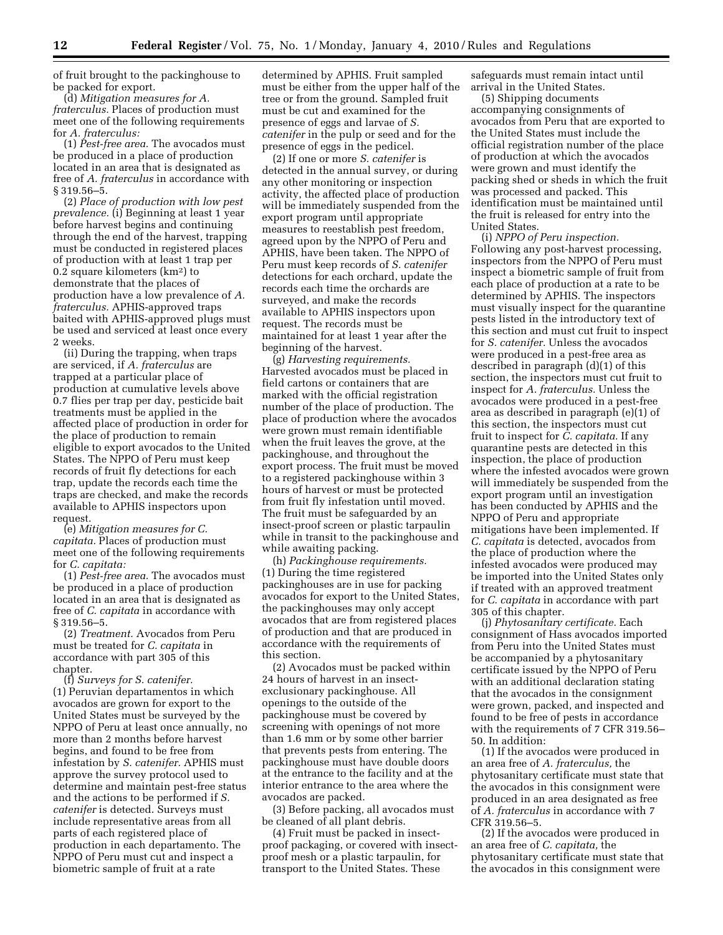of fruit brought to the packinghouse to be packed for export.

(d) *Mitigation measures for A. fraterculus.* Places of production must meet one of the following requirements for *A. fraterculus:* 

(1) *Pest-free area.* The avocados must be produced in a place of production located in an area that is designated as free of *A. fraterculus* in accordance with § 319.56–5.

(2) *Place of production with low pest prevalence.* (i) Beginning at least 1 year before harvest begins and continuing through the end of the harvest, trapping must be conducted in registered places of production with at least 1 trap per 0.2 square kilometers (km2) to demonstrate that the places of production have a low prevalence of *A. fraterculus.* APHIS-approved traps baited with APHIS-approved plugs must be used and serviced at least once every 2 weeks.

(ii) During the trapping, when traps are serviced, if *A. fraterculus* are trapped at a particular place of production at cumulative levels above 0.7 flies per trap per day, pesticide bait treatments must be applied in the affected place of production in order for the place of production to remain eligible to export avocados to the United States. The NPPO of Peru must keep records of fruit fly detections for each trap, update the records each time the traps are checked, and make the records available to APHIS inspectors upon request.

(e) *Mitigation measures for C. capitata.* Places of production must meet one of the following requirements for *C. capitata:* 

(1) *Pest-free area.* The avocados must be produced in a place of production located in an area that is designated as free of *C. capitata* in accordance with § 319.56–5.

(2) *Treatment.* Avocados from Peru must be treated for *C. capitata* in accordance with part 305 of this chapter.

(f) *Surveys for S. catenifer.*  (1) Peruvian departamentos in which avocados are grown for export to the United States must be surveyed by the NPPO of Peru at least once annually, no more than 2 months before harvest begins, and found to be free from infestation by *S. catenifer.* APHIS must approve the survey protocol used to determine and maintain pest-free status and the actions to be performed if *S. catenifer* is detected. Surveys must include representative areas from all parts of each registered place of production in each departamento. The NPPO of Peru must cut and inspect a biometric sample of fruit at a rate

determined by APHIS. Fruit sampled must be either from the upper half of the tree or from the ground. Sampled fruit must be cut and examined for the presence of eggs and larvae of *S. catenifer* in the pulp or seed and for the presence of eggs in the pedicel.

(2) If one or more *S. catenifer* is detected in the annual survey, or during any other monitoring or inspection activity, the affected place of production will be immediately suspended from the export program until appropriate measures to reestablish pest freedom, agreed upon by the NPPO of Peru and APHIS, have been taken. The NPPO of Peru must keep records of *S. catenifer*  detections for each orchard, update the records each time the orchards are surveyed, and make the records available to APHIS inspectors upon request. The records must be maintained for at least 1 year after the beginning of the harvest.

(g) *Harvesting requirements.*  Harvested avocados must be placed in field cartons or containers that are marked with the official registration number of the place of production. The place of production where the avocados were grown must remain identifiable when the fruit leaves the grove, at the packinghouse, and throughout the export process. The fruit must be moved to a registered packinghouse within 3 hours of harvest or must be protected from fruit fly infestation until moved. The fruit must be safeguarded by an insect-proof screen or plastic tarpaulin while in transit to the packinghouse and while awaiting packing.

(h) *Packinghouse requirements.*  (1) During the time registered packinghouses are in use for packing avocados for export to the United States, the packinghouses may only accept avocados that are from registered places of production and that are produced in accordance with the requirements of this section.

(2) Avocados must be packed within 24 hours of harvest in an insectexclusionary packinghouse. All openings to the outside of the packinghouse must be covered by screening with openings of not more than 1.6 mm or by some other barrier that prevents pests from entering. The packinghouse must have double doors at the entrance to the facility and at the interior entrance to the area where the avocados are packed.

(3) Before packing, all avocados must be cleaned of all plant debris.

(4) Fruit must be packed in insectproof packaging, or covered with insectproof mesh or a plastic tarpaulin, for transport to the United States. These

safeguards must remain intact until arrival in the United States.

(5) Shipping documents accompanying consignments of avocados from Peru that are exported to the United States must include the official registration number of the place of production at which the avocados were grown and must identify the packing shed or sheds in which the fruit was processed and packed. This identification must be maintained until the fruit is released for entry into the United States.

(i) *NPPO of Peru inspection.*  Following any post-harvest processing, inspectors from the NPPO of Peru must inspect a biometric sample of fruit from each place of production at a rate to be determined by APHIS. The inspectors must visually inspect for the quarantine pests listed in the introductory text of this section and must cut fruit to inspect for *S. catenifer.* Unless the avocados were produced in a pest-free area as described in paragraph (d)(1) of this section, the inspectors must cut fruit to inspect for *A. fraterculus.* Unless the avocados were produced in a pest-free area as described in paragraph (e)(1) of this section, the inspectors must cut fruit to inspect for *C. capitata.* If any quarantine pests are detected in this inspection, the place of production where the infested avocados were grown will immediately be suspended from the export program until an investigation has been conducted by APHIS and the NPPO of Peru and appropriate mitigations have been implemented. If *C. capitata* is detected, avocados from the place of production where the infested avocados were produced may be imported into the United States only if treated with an approved treatment for *C. capitata* in accordance with part 305 of this chapter.

(j) *Phytosanitary certificate.* Each consignment of Hass avocados imported from Peru into the United States must be accompanied by a phytosanitary certificate issued by the NPPO of Peru with an additional declaration stating that the avocados in the consignment were grown, packed, and inspected and found to be free of pests in accordance with the requirements of 7 CFR 319.56– 50. In addition:

(1) If the avocados were produced in an area free of *A. fraterculus,* the phytosanitary certificate must state that the avocados in this consignment were produced in an area designated as free of *A. fraterculus* in accordance with 7 CFR 319.56–5.

(2) If the avocados were produced in an area free of *C. capitata,* the phytosanitary certificate must state that the avocados in this consignment were